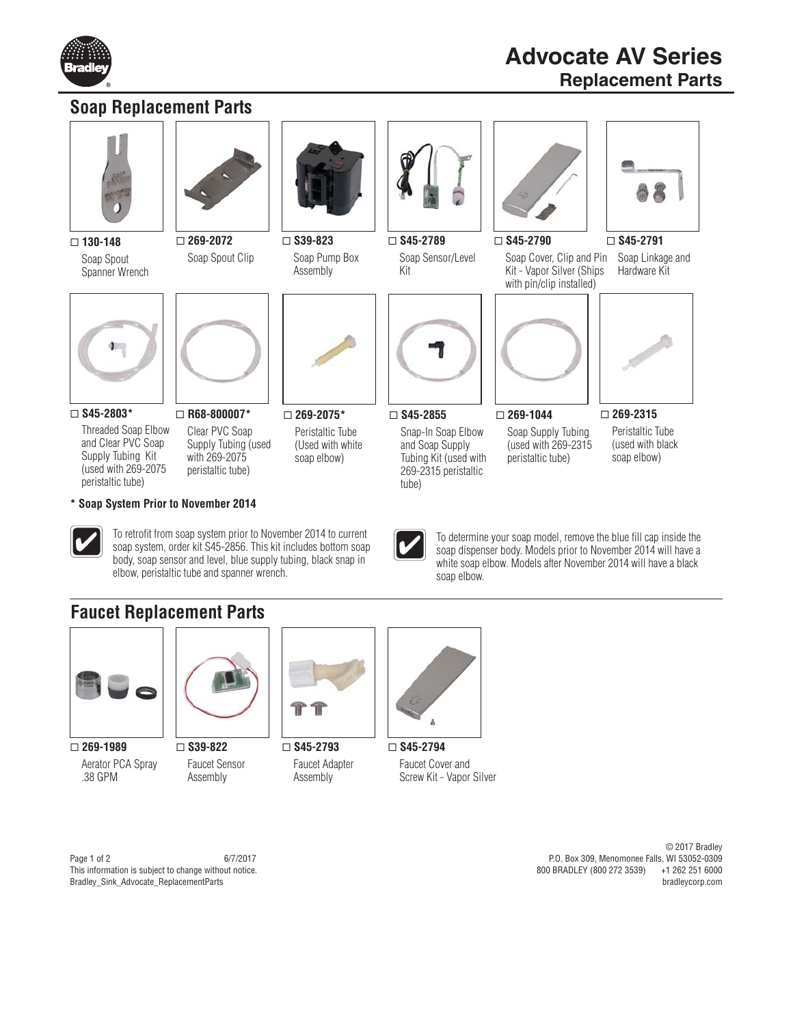

## **Soap Replacement Parts**



 **130-148** Soap Spout Spanner Wrench



 **269-2072** Soap Spout Clip



 **S39-823** Soap Pump Box Assembly



 **S45-2789** Soap Sensor/Level Kit



 **S45-2790** Soap Cover, Clip and Pin Kit - Vapor Silver (Ships



 **S45-2791**

Soap Linkage and Hardware Kit



 **S45-2803\***

Threaded Soap Elbow and Clear PVC Soap Supply Tubing Kit (used with 269-2075 peristaltic tube)



peristaltic tube)

elbow, peristaltic tube and spanner wrench.

To retrofit from soap system prior to November 2014 to current soap system, order kit S45-2856. This kit includes bottom soap body, soap sensor and level, blue supply tubing, black snap in

Clear PVC Soap Supply Tubing (used with 269-2075  **269-2075\*** Peristaltic Tube (Used with white soap elbow)



 **S45-2855** Snap-In Soap Elbow and Soap Supply Tubing Kit (used with 269-2315 peristaltic tube)



 **269-1044** Soap Supply Tubing (used with 269-2315 peristaltic tube)



 **269-2315**

Peristaltic Tube (used with black soap elbow)



To determine your soap model, remove the blue fill cap inside the soap dispenser body. Models prior to November 2014 will have a white soap elbow. Models after November 2014 will have a black soap elbow.

## **Faucet Replacement Parts**

**\* Soap System Prior to November 2014**



 **269-1989** Aerator PCA Spray .38 GPM



 **S39-822** Faucet Sensor Assembly



 **S45-2793** Faucet Adapter Assembly



 **S45-2794** Faucet Cover and Screw Kit - Vapor Silver

Page 1 of 2 6/7/2017 This information is subject to change without notice. Bradley\_Sink\_Advocate\_ReplacementParts

© 2017 Bradley P.O. Box 309, Menomonee Falls, WI 53052-0309 800 BRADLEY (800 272 3539) bradleycorp.com